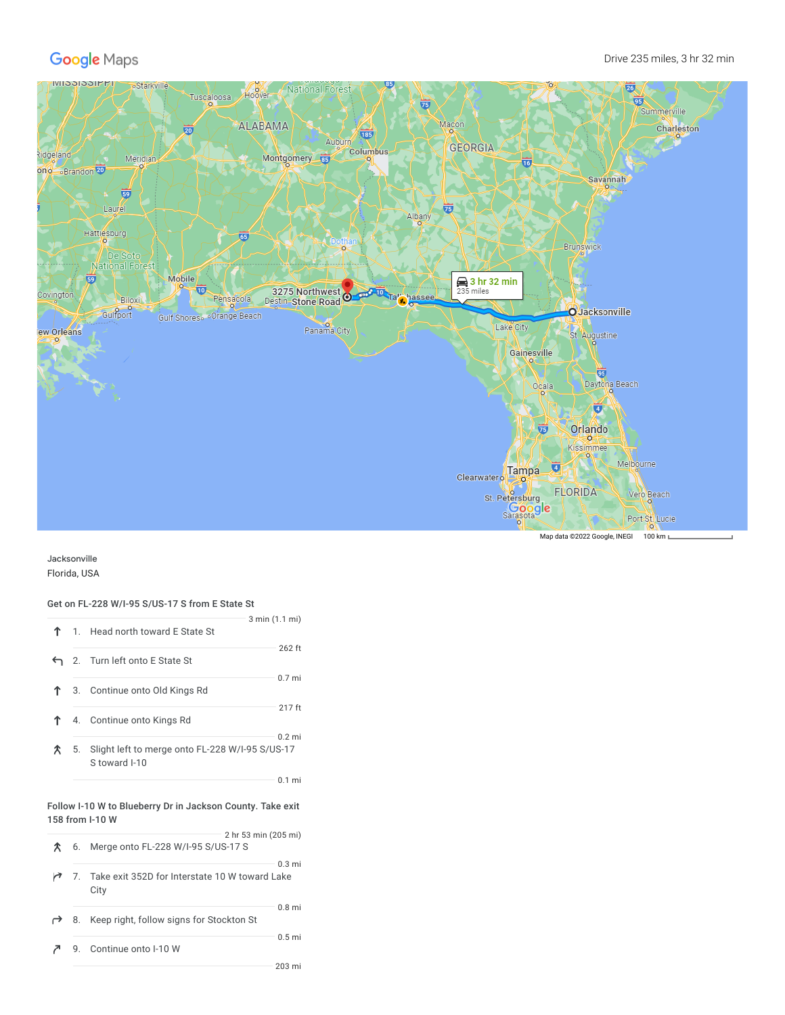

Jacksonville Florida, USA

## Get on FL-228 W/I-95 S/US-17 S from E State St

|   |    | 3 min (1.1 mi)<br>1. Head north toward E State St                |                   |
|---|----|------------------------------------------------------------------|-------------------|
|   |    | ← 2. Turn left onto E State St                                   | 262 ft            |
|   |    | 3. Continue onto Old Kings Rd                                    | 0.7 <sub>mi</sub> |
| ↑ |    | 4. Continue onto Kings Rd                                        | 217 ft            |
| 仌 | 5. | Slight left to merge onto FL-228 W/I-95 S/US-17<br>S toward I-10 | $0.2$ mi          |
|   |    |                                                                  | $0.1$ mi          |
|   |    | Follow I-10 W to Blueberry Dr in Jackson County. Take exit       |                   |

|  | 158 from I-10 W                                           |                      |  |  |
|--|-----------------------------------------------------------|----------------------|--|--|
|  | 6. Merge onto FL-228 W/I-95 S/US-17 S                     | 2 hr 53 min (205 mi) |  |  |
|  | 7. Take exit 352D for Interstate 10 W toward Lake<br>City | $0.3 \text{ mi}$     |  |  |
|  | 8. Keep right, follow signs for Stockton St               | $0.8$ mi             |  |  |
|  | 9. Continue onto I-10 W                                   | $0.5$ mi             |  |  |
|  |                                                           | 203 mi               |  |  |

Map data @2022 Google, INEGI 100 km L